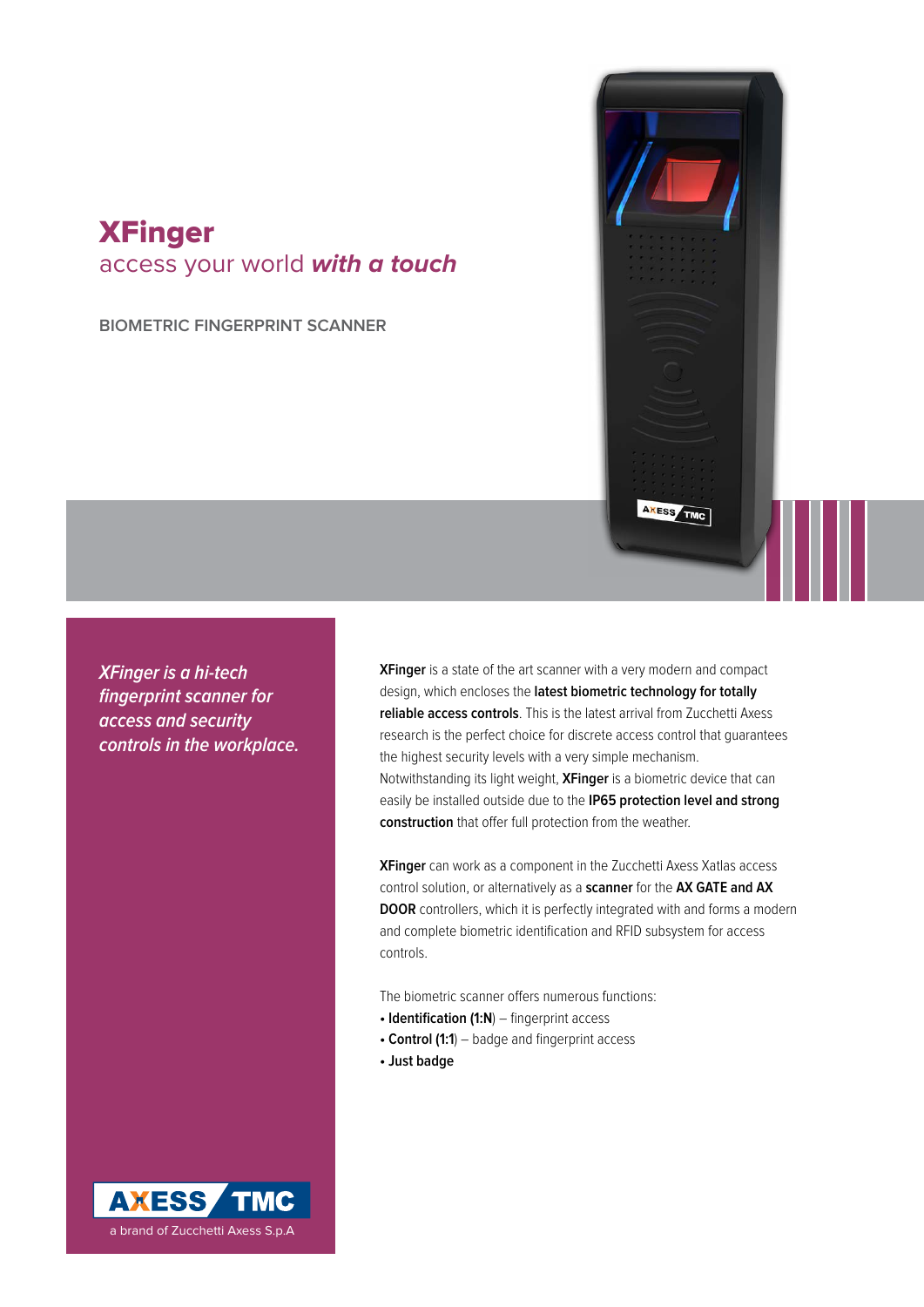## **XFinger** access your world **with a touch**

**biometric fingerprint scanner**

**XFinger is a hi-tech fingerprint scanner for access and security controls in the workplace.** **XFinger** is a state of the art scanner with a very modern and compact design, which encloses the **latest biometric technology for totally reliable access controls**. This is the latest arrival from Zucchetti Axess research is the perfect choice for discrete access control that guarantees the highest security levels with a very simple mechanism. Notwithstanding its light weight, **XFinger** is a biometric device that can easily be installed outside due to the **IP65 protection level and strong construction** that offer full protection from the weather.

AXESS TMC

**XFinger** can work as a component in the Zucchetti Axess Xatlas access control solution, or alternatively as a **scanner** for the **AX GATE and AX DOOR** controllers, which it is perfectly integrated with and forms a modern and complete biometric identification and RFID subsystem for access controls.

The biometric scanner offers numerous functions:

- **Identification (1:N**) fingerprint access
- **Control (1:1**) badge and fingerprint access
- **Just badge**